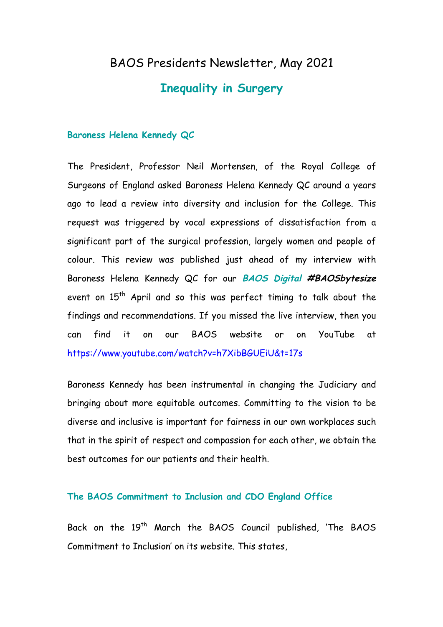# BAOS Presidents Newsletter, May 2021 **Inequality in Surgery**

### **Baroness Helena Kennedy QC**

The President, Professor Neil Mortensen, of the Royal College of Surgeons of England asked Baroness Helena Kennedy QC around a years ago to lead a review into diversity and inclusion for the College. This request was triggered by vocal expressions of dissatisfaction from a significant part of the surgical profession, largely women and people of colour. This review was published just ahead of my interview with Baroness Helena Kennedy QC for our **BAOS Digital #BAOSbytesize**  event on  $15<sup>th</sup>$  April and so this was perfect timing to talk about the findings and recommendations. If you missed the live interview, then you can find it on our BAOS website or on YouTube at https://www.youtube.com/watch?v=h7XibBGUEiU&t=17s

Baroness Kennedy has been instrumental in changing the Judiciary and bringing about more equitable outcomes. Committing to the vision to be diverse and inclusive is important for fairness in our own workplaces such that in the spirit of respect and compassion for each other, we obtain the best outcomes for our patients and their health.

# **The BAOS Commitment to Inclusion and CDO England Office**

Back on the 19th March the BAOS Council published, 'The BAOS Commitment to Inclusion' on its website. This states,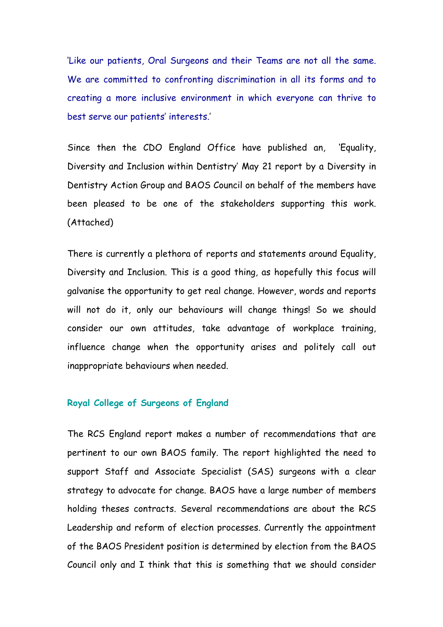'Like our patients, Oral Surgeons and their Teams are not all the same. We are committed to confronting discrimination in all its forms and to creating a more inclusive environment in which everyone can thrive to best serve our patients' interests.'

Since then the CDO England Office have published an, 'Equality, Diversity and Inclusion within Dentistry' May 21 report by a Diversity in Dentistry Action Group and BAOS Council on behalf of the members have been pleased to be one of the stakeholders supporting this work. (Attached)

There is currently a plethora of reports and statements around Equality, Diversity and Inclusion. This is a good thing, as hopefully this focus will galvanise the opportunity to get real change. However, words and reports will not do it, only our behaviours will change things! So we should consider our own attitudes, take advantage of workplace training, influence change when the opportunity arises and politely call out inappropriate behaviours when needed.

## **Royal College of Surgeons of England**

The RCS England report makes a number of recommendations that are pertinent to our own BAOS family. The report highlighted the need to support Staff and Associate Specialist (SAS) surgeons with a clear strategy to advocate for change. BAOS have a large number of members holding theses contracts. Several recommendations are about the RCS Leadership and reform of election processes. Currently the appointment of the BAOS President position is determined by election from the BAOS Council only and I think that this is something that we should consider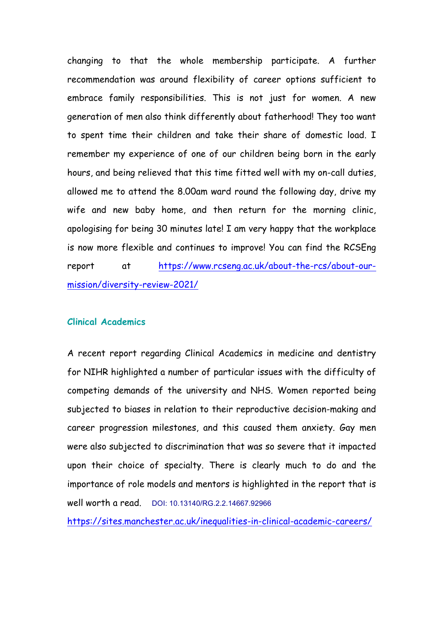changing to that the whole membership participate. A further recommendation was around flexibility of career options sufficient to embrace family responsibilities. This is not just for women. A new generation of men also think differently about fatherhood! They too want to spent time their children and take their share of domestic load. I remember my experience of one of our children being born in the early hours, and being relieved that this time fitted well with my on-call duties, allowed me to attend the 8.00am ward round the following day, drive my wife and new baby home, and then return for the morning clinic, apologising for being 30 minutes late! I am very happy that the workplace is now more flexible and continues to improve! You can find the RCSEng report at https://www.rcseng.ac.uk/about-the-rcs/about-ourmission/diversity-review-2021/

# **Clinical Academics**

A recent report regarding Clinical Academics in medicine and dentistry for NIHR highlighted a number of particular issues with the difficulty of competing demands of the university and NHS. Women reported being subjected to biases in relation to their reproductive decision-making and career progression milestones, and this caused them anxiety. Gay men were also subjected to discrimination that was so severe that it impacted upon their choice of specialty. There is clearly much to do and the importance of role models and mentors is highlighted in the report that is well worth a read. DOI: 10.13140/RG.2.2.14667.92966

https://sites.manchester.ac.uk/inequalities-in-clinical-academic-careers/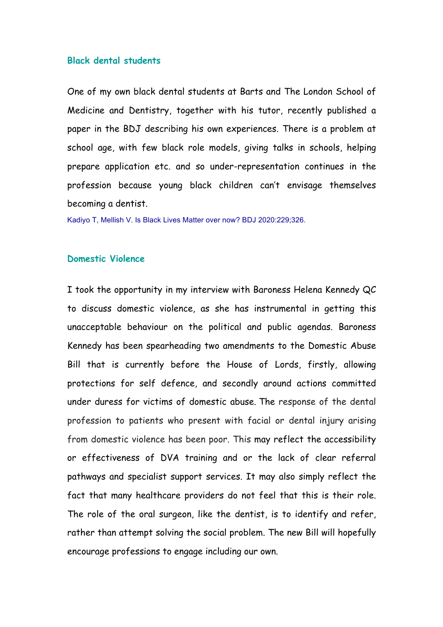#### **Black dental students**

One of my own black dental students at Barts and The London School of Medicine and Dentistry, together with his tutor, recently published a paper in the BDJ describing his own experiences. There is a problem at school age, with few black role models, giving talks in schools, helping prepare application etc. and so under-representation continues in the profession because young black children can't envisage themselves becoming a dentist.

Kadiyo T, Mellish V. Is Black Lives Matter over now? BDJ 2020:229;326.

## **Domestic Violence**

I took the opportunity in my interview with Baroness Helena Kennedy QC to discuss domestic violence, as she has instrumental in getting this unacceptable behaviour on the political and public agendas. Baroness Kennedy has been spearheading two amendments to the Domestic Abuse Bill that is currently before the House of Lords, firstly, allowing protections for self defence, and secondly around actions committed under duress for victims of domestic abuse. The response of the dental profession to patients who present with facial or dental injury arising from domestic violence has been poor. This may reflect the accessibility or effectiveness of DVA training and or the lack of clear referral pathways and specialist support services. It may also simply reflect the fact that many healthcare providers do not feel that this is their role. The role of the oral surgeon, like the dentist, is to identify and refer, rather than attempt solving the social problem. The new Bill will hopefully encourage professions to engage including our own.